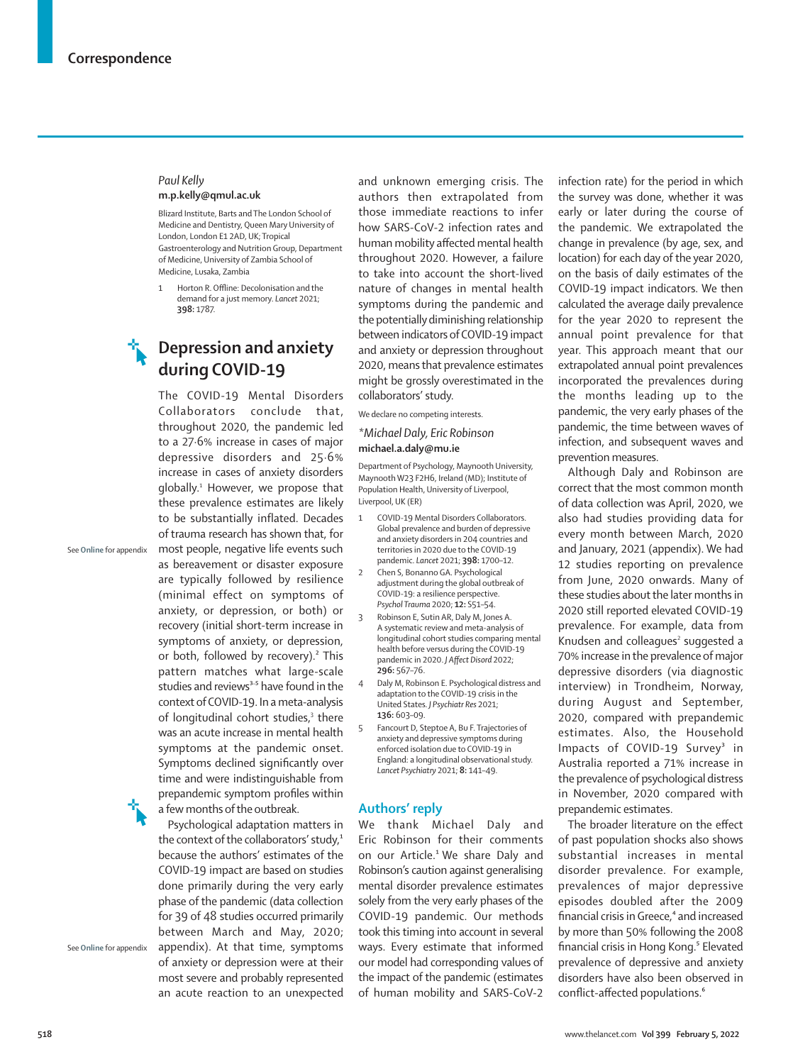#### *Paul Kelly* **m.p.kelly@qmul.ac.uk**

Blizard Institute, Barts and The London School of Medicine and Dentistry, Queen Mary University of London, London E1 2AD, UK; Tropical Gastroenterology and Nutrition Group, Department of Medicine, University of Zambia School of Medicine, Lusaka, Zambia

1 Horton R. Offline: Decolonisation and the demand for a just memory. *Lancet* 2021; **398:** 1787.

# **Depression and anxiety during COVID-19**

The COVID-19 Mental Disorders Collaborators conclude that, throughout 2020, the pandemic led to a 27·6% increase in cases of major depressive disorders and 25·6% increase in cases of anxiety disorders globally.1 However, we propose that these prevalence estimates are likely to be substantially inflated. Decades of trauma research has shown that, for most people, negative life events such as bereavement or disaster exposure are typically followed by resilience (minimal effect on symptoms of anxiety, or depression, or both) or recovery (initial short-term increase in symptoms of anxiety, or depression, or both, followed by recovery).² This pattern matches what large-scale studies and reviews<sup>3-5</sup> have found in the context of COVID-19. In a meta-analysis of longitudinal cohort studies,<sup>3</sup> there was an acute increase in mental health symptoms at the pandemic onset. Symptoms declined significantly over time and were indistinguishable from prepandemic symptom profiles within a few months of the outbreak.

See **Online** for appendix

Psychological adaptation matters in the context of the collaborators' study,<sup>1</sup> because the authors' estimates of the COVID-19 impact are based on studies done primarily during the very early phase of the pandemic (data collection for 39 of 48 studies occurred primarily between March and May, 2020; appendix). At that time, symptoms of anxiety or depression were at their most severe and probably represented an acute reaction to an unexpected

See **Online** for appendix

and unknown emerging crisis. The authors then extrapolated from those immediate reactions to infer how SARS-CoV-2 infection rates and human mobility affected mental health throughout 2020. However, a failure to take into account the short-lived nature of changes in mental health symptoms during the pandemic and the potentially diminishing relationship between indicators of COVID-19 impact and anxiety or depression throughout 2020, means that prevalence estimates might be grossly overestimated in the collaborators' study.

We declare no competing interests.

#### *\*Michael Daly, Eric Robinson* **michael.a.daly@mu.ie**

Department of Psychology, Maynooth University, Maynooth W23 F2H6, Ireland (MD); Institute of Population Health, University of Liverpool, Liverpool, UK (ER)

- 1 COVID-19 Mental Disorders Collaborators. Global prevalence and burden of depressive and anxiety disorders in 204 countries and territories in 2020 due to the COVID-19 pandemic. *Lancet* 2021; **398:** 1700–12.
- 2 Chen S, Bonanno GA. Psychological adjustment during the global outbreak of COVID-19: a resilience perspective. *Psychol Trauma* 2020; **12:** S51–54.
- 3 Robinson E, Sutin AR, Daly M, Jones A. A systematic review and meta-analysis of longitudinal cohort studies comparing mental health before versus during the COVID-19 pandemic in 2020. *J Affect Disord* 2022; **296:** 567–76.
- 4 Daly M, Robinson E. Psychological distress and adaptation to the COVID-19 crisis in the United States. *J Psychiatr Res* 2021; **136:** 603–09.
- 5 Fancourt D, Steptoe A, Bu F. Trajectories of anxiety and depressive symptoms during enforced isolation due to COVID-19 in England: a longitudinal observational study. *Lancet Psychiatry* 2021; **8:** 141–49.

## **Authors' reply**

We thank Michael Daly and Eric Robinson for their comments on our Article.<sup>1</sup> We share Daly and Robinson's caution against generalising mental disorder prevalence estimates solely from the very early phases of the COVID-19 pandemic. Our methods took this timing into account in several ways. Every estimate that informed our model had corresponding values of the impact of the pandemic (estimates of human mobility and SARS-CoV-2 infection rate) for the period in which the survey was done, whether it was early or later during the course of the pandemic. We extrapolated the change in prevalence (by age, sex, and location) for each day of the year 2020, on the basis of daily estimates of the COVID-19 impact indicators. We then calculated the average daily prevalence for the year 2020 to represent the annual point prevalence for that year. This approach meant that our extrapolated annual point prevalences incorporated the prevalences during the months leading up to the pandemic, the very early phases of the pandemic, the time between waves of infection, and subsequent waves and prevention measures.

Although Daly and Robinson are correct that the most common month of data collection was April, 2020, we also had studies providing data for every month between March, 2020 and January, 2021 (appendix). We had 12 studies reporting on prevalence from June, 2020 onwards. Many of these studies about the later months in 2020 still reported elevated COVID-19 prevalence. For example, data from Knudsen and colleagues<sup>2</sup> suggested a 70% increase in the prevalence of major depressive disorders (via diagnostic interview) in Trondheim, Norway, during August and September, 2020, compared with prepandemic estimates. Also, the Household Impacts of COVID-19 Survey<sup>3</sup> in Australia reported a 71% increase in the prevalence of psychological distress in November, 2020 compared with prepandemic estimates.

The broader literature on the effect of past population shocks also shows substantial increases in mental disorder prevalence. For example, prevalences of major depressive episodes doubled after the 2009 financial crisis in Greece,<sup>4</sup> and increased by more than 50% following the 2008 financial crisis in Hong Kong.<sup>5</sup> Elevated prevalence of depressive and anxiety disorders have also been observed in conflict-affected populations.<sup>6</sup>